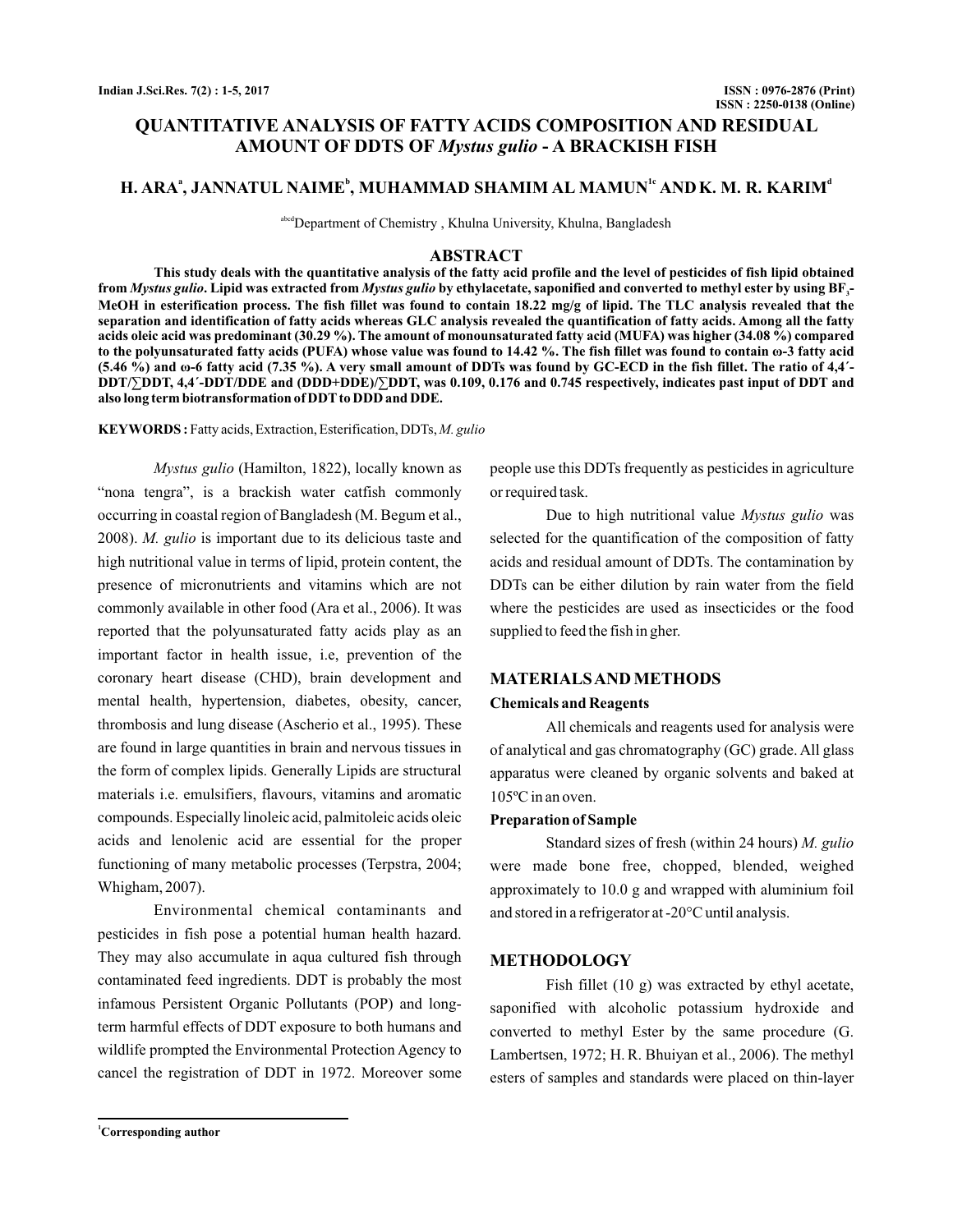# **QUANTITATIVE ANALYSIS OF FATTY ACIDS COMPOSITION AND RESIDUAL AMOUNT OF DDTS OF Mystus gulio - A BRACKISH FISH**

# **H. ARA<sup>ª</sup>, JANNATUL NAIME<sup>b</sup>, MUHAMMAD SHAMIM AL MAMUN<sup>1c</sup> AND K. M. R. KARIM<sup>d</sup>**

abcd Department of Chemistry, Khulna University, Khulna, Bangladesh

### **ABSTRACT**

**This study deals with the quantitative analysis of the fatty acid profile and the level of pesticides of fish lipid obtained** from *Mystus gulio.* Lipid was extracted from *Mystus gulio* by ethylacetate, saponified and converted to methyl ester by using BF<sub>3</sub>-**MeOH in esterification process. The fish fillet was found to contain 18.22 mg/g of lipid. The TLC analysis revealed that the separation and identification of fatty acids whereas GLC analysis revealed the quantification of fatty acids. Among all the fatty acids oleic acid was predominant (30.29 %). The amount of monounsaturated fatty acid (MUFA) was higher (34.08 %) compared** to the polyunsaturated fatty acids (PUFA) whose value was found to 14.42 %. The fish fillet was found to contain ω-3 fatty acid (5.46 %) and **ω-6 fatty acid (7.35 %). A very small amount of DDTs was found by GC-ECD in the fish fillet. The ratio of 4,4'-DDT/∑DDT, 4,4 -DDT/DDE and (DDD+DDE)/∑DDT, was 0.109, 0.176 and 0.745 respectively, indicates past input of DDT and ΄ also long term biotransformation of DDT to DDD and DDE.**

Fatty acids, Extraction, Esterification, DDTs, **KEYWORDS :** *M. gulio*

(Hamilton, 1822), locally known as *Mystus gulio* "nona tengra", is a brackish water catfish commonly occurring in coastal region of Bangladesh (M. Begum et al., 2008). M. gulio is important due to its delicious taste and high nutritional value in terms of lipid, protein content, the presence of micronutrients and vitamins which are not commonly available in other food (Ara et al., 2006). It was reported that the polyunsaturated fatty acids play as an important factor in health issue, i.e, prevention of the coronary heart disease (CHD), brain development and mental health, hypertension, diabetes, obesity, cancer, thrombosis and lung disease (Ascherio et al., 1995). These are found in large quantities in brain and nervous tissues in the form of complex lipids. Generally Lipids are structural materials i.e. emulsifiers, flavours, vitamins and aromatic compounds. Especially linoleic acid, palmitoleic acids oleic acids and lenolenic acid are essential for the proper functioning of many metabolic processes (Terpstra, 2004; Whigham, 2007).

Environmental chemical contaminants and pesticides in fish pose a potential human health hazard. They may also accumulate in aqua cultured fish through contaminated feed ingredients. DDT is probably the most infamous Persistent Organic Pollutants (POP) and longterm harmful effects of DDT exposure to both humans and wildlife prompted the Environmental Protection Agency to cancel the registration of DDT in 1972. Moreover some

people use this DDTs frequently as pesticides in agriculture or required task.

Due to high nutritional value Mystus gulio was selected for the quantification of the composition of fatty acids and residual amount of DDTs. The contamination by DDTs can be either dilution by rain water from the field where the pesticides are used as insecticides or the food supplied to feed the fish in gher.

### **MATERIALSAND METHODS**

### **Chemicals and Reagents**

All chemicals and reagents used for analysis were of analytical and gas chromatography (GC) grade. All glass apparatus were cleaned by organic solvents and baked at 105ºC in an oven.

### **Preparation of Sample**

Standard sizes of fresh (within 24 hours) *M. gulio* were made bone free, chopped, blended, weighed approximately to 10.0 g and wrapped with aluminium foil and stored in a refrigerator at -20°C until analysis.

### **METHODOLOGY**

Fish fillet (10 g) was extracted by ethyl acetate, saponified with alcoholic potassium hydroxide and converted to methyl Ester by the same procedure (G. Lambertsen, 1972; H. R. Bhuiyan et al., 2006). The methyl esters of samples and standards were placed on thin-layer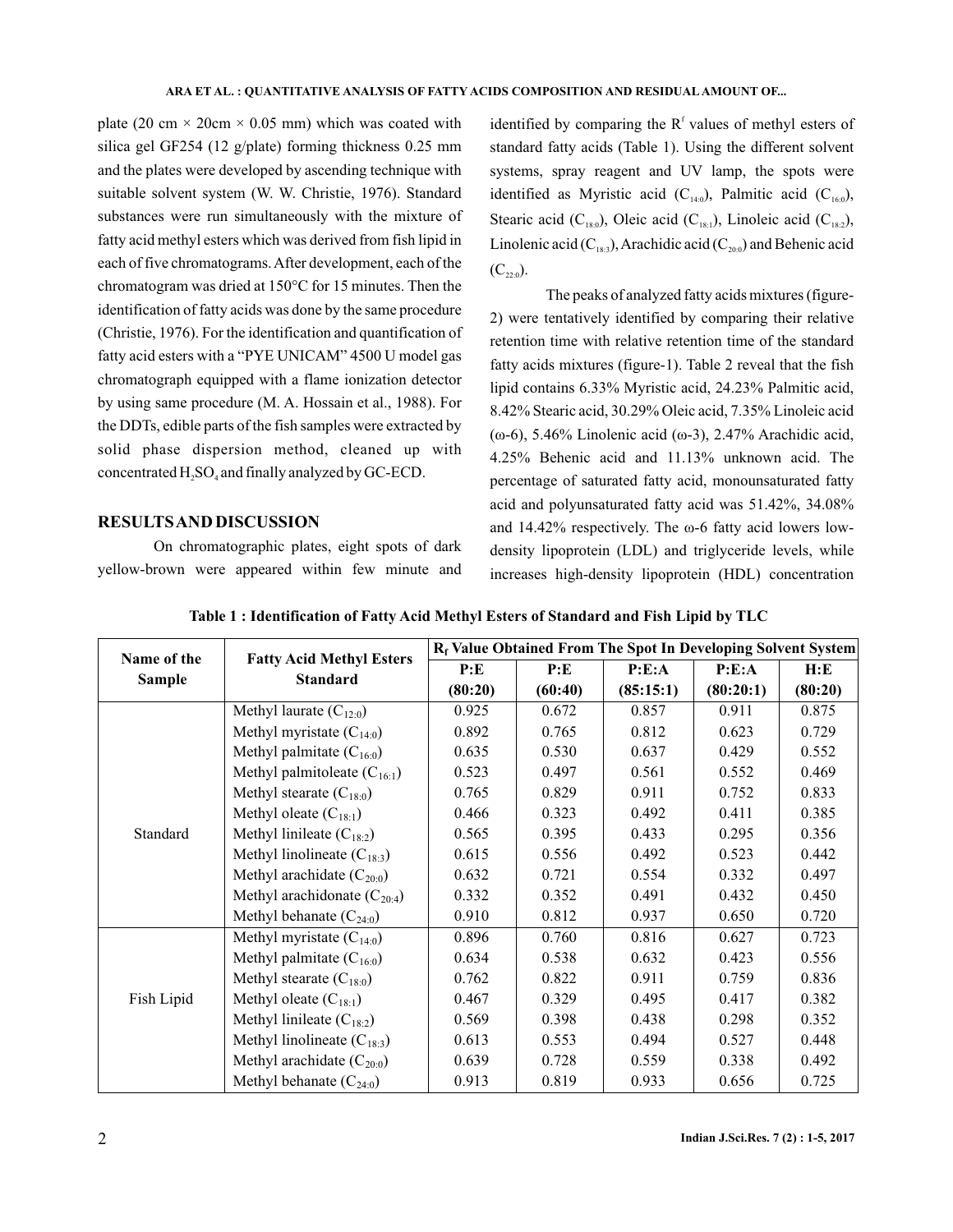plate (20 cm  $\times$  20cm  $\times$  0.05 mm) which was coated with silica gel GF254 (12 g/plate) forming thickness 0.25 mm and the plates were developed by ascending technique with suitable solvent system (W. W. Christie, 1976). Standard substances were run simultaneously with the mixture of fatty acid methyl esters which was derived from fish lipid in each of five chromatograms.After development, each of the chromatogram was dried at 150°C for 15 minutes. Then the identification of fatty acids was done by the same procedure (Christie, 1976). For the identification and quantification of fatty acid esters with a "PYE UNICAM" 4500 U model gas chromatograph equipped with a flame ionization detector by using same procedure (M. A. Hossain et al., 1988). For the DDTs, edible parts of the fish samples were extracted by solid phase dispersion method, cleaned up with concentrated  $H_2SO_4$  and finally analyzed by GC-ECD.

## **RESULTSAND DISCUSSION**

On chromatographic plates, eight spots of dark yellow-brown were appeared within few minute and

identified by comparing the  $R<sup>f</sup>$  values of methyl esters of standard fatty acids (Table 1). Using the different solvent systems, spray reagent and UV lamp, the spots were identified as Myristic acid  $(C_{14:0})$ , Palmitic acid  $(C_{16:0})$ , Stearic acid ( $C_{18:0}$ ), Oleic acid ( $C_{18:1}$ ), Linoleic acid ( $C_{18:2}$ ), Linolenic acid ( $\mathrm{C}_{18:3}$ ), Arachidic acid ( $\mathrm{C}_{20:0}$ ) and Behenic acid  $(C_{22:0}).$ 

The peaks of analyzed fatty acids mixtures (figure-2) were tentatively identified by comparing their relative retention time with relative retention time of the standard fatty acids mixtures (figure-1). Table 2 reveal that the fish 4.25% Behenic acid and 11.13% unknown acid. The percentage of saturated fatty acid, monounsaturated fatty acid and polyunsaturated fatty acid was 51.42%, 34.08% and  $14.42\%$  respectively. The  $\omega$ -6 fatty acid lowers lowdensity lipoprotein (LDL) and triglyceride levels, while increases high-density lipoprotein (HDL) concentration lipid contains 6.33% Myristic acid, 24.23% Palmitic acid, 8.42% Stearic acid, 30.29% Oleic acid, 7.35% Linoleic acid (ω-6), 5.46% Linolenic acid (ω-3), 2.47% Arachidic acid,

| Name of the<br><b>Sample</b> | <b>Fatty Acid Methyl Esters</b>  | R <sub>f</sub> Value Obtained From The Spot In Developing Solvent System |         |           |           |         |  |
|------------------------------|----------------------------------|--------------------------------------------------------------------------|---------|-----------|-----------|---------|--|
|                              |                                  | P:E                                                                      | P:E     | P: E:A    | P: E:A    | H:E     |  |
|                              | <b>Standard</b>                  | (80:20)                                                                  | (60:40) | (85:15:1) | (80:20:1) | (80:20) |  |
|                              | Methyl laurate $(C_{12:0})$      |                                                                          | 0.672   | 0.857     | 0.911     | 0.875   |  |
|                              | Methyl myristate $(C_{14:0})$    | 0.892                                                                    | 0.765   | 0.812     | 0.623     | 0.729   |  |
|                              | Methyl palmitate $(C_{16:0})$    | 0.635                                                                    | 0.530   | 0.637     | 0.429     | 0.552   |  |
|                              | Methyl palmitoleate $(C_{16:1})$ | 0.523                                                                    | 0.497   | 0.561     | 0.552     | 0.469   |  |
|                              | Methyl stearate $(C_{18:0})$     | 0.765                                                                    | 0.829   | 0.911     | 0.752     | 0.833   |  |
| Standard                     | Methyl oleate $(C_{18:1})$       | 0.466                                                                    | 0.323   | 0.492     | 0.411     | 0.385   |  |
|                              | Methyl linileate $(C_{18:2})$    | 0.565                                                                    | 0.395   | 0.433     | 0.295     | 0.356   |  |
|                              | Methyl linolineate $(C_{18:3})$  | 0.615                                                                    | 0.556   | 0.492     | 0.523     | 0.442   |  |
|                              | Methyl arachidate $(C_{20:0})$   | 0.632                                                                    | 0.721   | 0.554     | 0.332     | 0.497   |  |
|                              | Methyl arachidonate $(C_{20:4})$ | 0.332                                                                    | 0.352   | 0.491     | 0.432     | 0.450   |  |
|                              | Methyl behanate $(C_{24:0})$     | 0.910                                                                    | 0.812   | 0.937     | 0.650     | 0.720   |  |
| Fish Lipid                   | Methyl myristate $(C_{14:0})$    | 0.896                                                                    | 0.760   | 0.816     | 0.627     | 0.723   |  |
|                              | Methyl palmitate $(C_{16:0})$    | 0.634                                                                    | 0.538   | 0.632     | 0.423     | 0.556   |  |
|                              | Methyl stearate $(C_{18:0})$     | 0.762                                                                    | 0.822   | 0.911     | 0.759     | 0.836   |  |
|                              | Methyl oleate $(C_{18:1})$       | 0.467                                                                    | 0.329   | 0.495     | 0.417     | 0.382   |  |
|                              | Methyl linileate $(C_{18:2})$    | 0.569                                                                    | 0.398   | 0.438     | 0.298     | 0.352   |  |
|                              | Methyl linolineate $(C_{18:3})$  | 0.613                                                                    | 0.553   | 0.494     | 0.527     | 0.448   |  |
|                              | Methyl arachidate $(C_{20:0})$   | 0.639                                                                    | 0.728   | 0.559     | 0.338     | 0.492   |  |
|                              | Methyl behanate $(C_{24:0})$     | 0.913                                                                    | 0.819   | 0.933     | 0.656     | 0.725   |  |

**Table 1 : Identification of Fatty Acid Methyl Esters of Standard and Fish Lipid by TLC**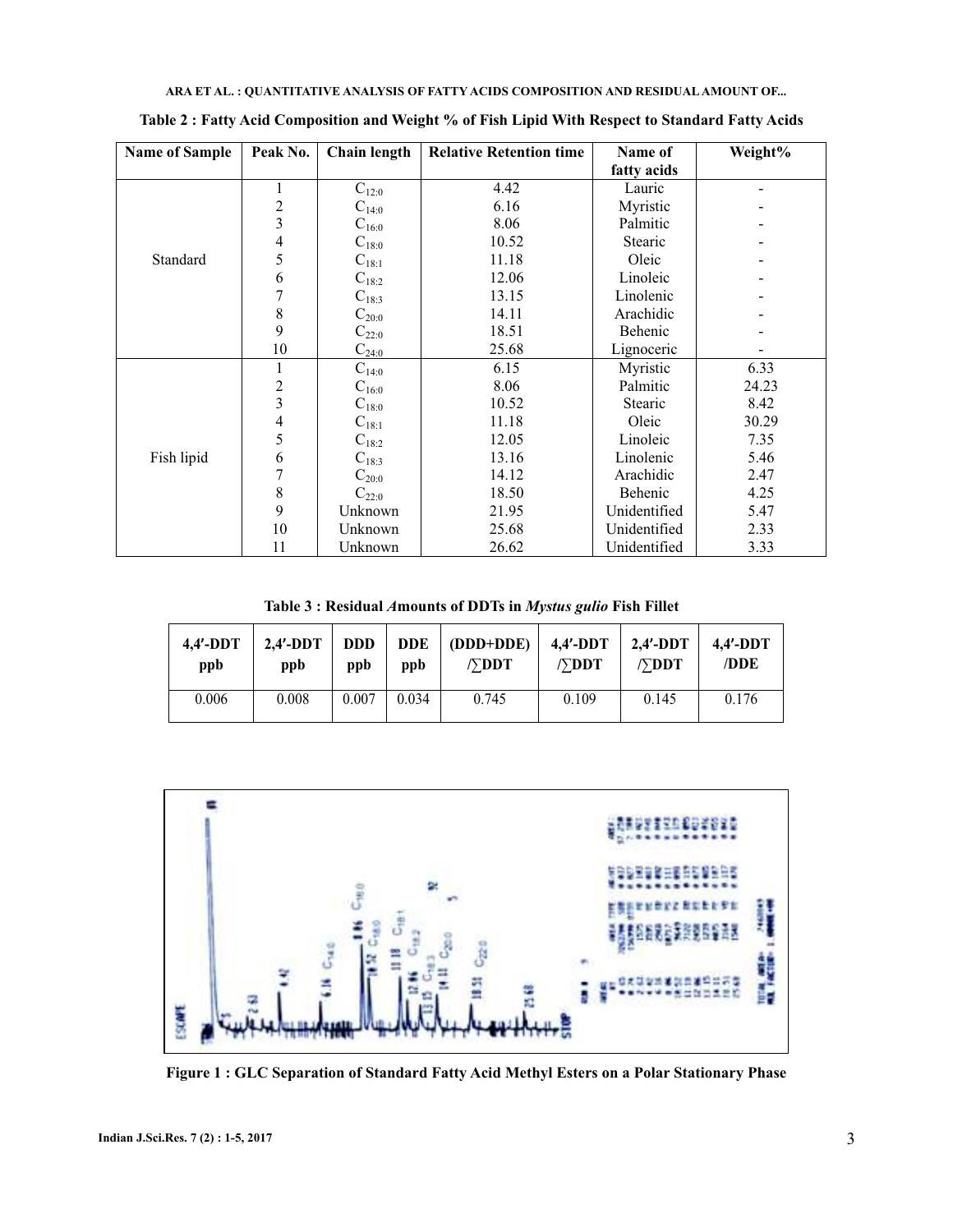| <b>Name of Sample</b> | Peak No. | Chain length | <b>Relative Retention time</b> | Name of        | Weight% |
|-----------------------|----------|--------------|--------------------------------|----------------|---------|
|                       |          |              |                                | fatty acids    |         |
|                       |          | $C_{12:0}$   | 4.42                           | Lauric         |         |
|                       | 2        | $C_{14:0}$   | 6.16                           | Myristic       |         |
|                       | 3        | $C_{16:0}$   | 8.06                           | Palmitic       |         |
|                       | 4        | $C_{18:0}$   | 10.52                          | Stearic        |         |
| Standard              | 5        | $C_{18:1}$   | 11.18                          | Oleic          |         |
|                       | 6        | $C_{18:2}$   | 12.06                          | Linoleic       |         |
|                       |          | $C_{18:3}$   | 13.15                          | Linolenic      |         |
|                       | 8        | $C_{20:0}$   | 14.11                          | Arachidic      |         |
|                       | 9        | $C_{22:0}$   | 18.51                          | Behenic        |         |
|                       | 10       | $C_{24:0}$   | 25.68                          | Lignoceric     |         |
|                       |          | $C_{14:0}$   | 6.15                           | Myristic       | 6.33    |
|                       | 2        | $C_{16:0}$   | 8.06                           | Palmitic       | 24.23   |
|                       | 3        | $C_{18:0}$   | 10.52                          | <b>Stearic</b> | 8.42    |
|                       | 4        | $C_{18:1}$   | 11.18                          | Oleic          | 30.29   |
|                       | 5        | $C_{18:2}$   | 12.05                          | Linoleic       | 7.35    |
| Fish lipid            | 6        | $C_{18:3}$   | 13.16                          | Linolenic      | 5.46    |
|                       |          | $C_{20:0}$   | 14.12                          | Arachidic      | 2.47    |
|                       | 8        | $C_{22:0}$   | 18.50                          | Behenic        | 4.25    |
|                       | 9        | Unknown      | 21.95                          | Unidentified   | 5.47    |
|                       | 10       | Unknown      | 25.68                          | Unidentified   | 2.33    |
|                       | 11       | Unknown      | 26.62                          | Unidentified   | 3.33    |

**Table 2 : Fatty Acid Composition and Weight % of Fish Lipid With Respect to Standard Fatty Acids**

Table 3 : Residual Amounts of DDTs in Mystus gulio Fish Fillet

| $4.4'$ -DDT | $2.4'$ -DDT | <b>DDD</b> | <b>DDE</b> | (DDD+DDE)               | 4,4′-DDT                | 2,4'-DDT                | $4.4'$ -DDT |
|-------------|-------------|------------|------------|-------------------------|-------------------------|-------------------------|-------------|
| ppb         | ppb         | ppb        | ppb        | $/$ $\triangledown$ DDT | $/$ $\triangledown$ DDT | $/$ $\triangledown$ DDT | /DDE        |
| 0.006       | 0.008       | 0.007      | 0.034      | 0.745                   | 0.109                   | 0.145                   | 0.176       |



**Figure 1 : GLC Separation of Standard Fatty Acid Methyl Esters on a Polar Stationary Phase**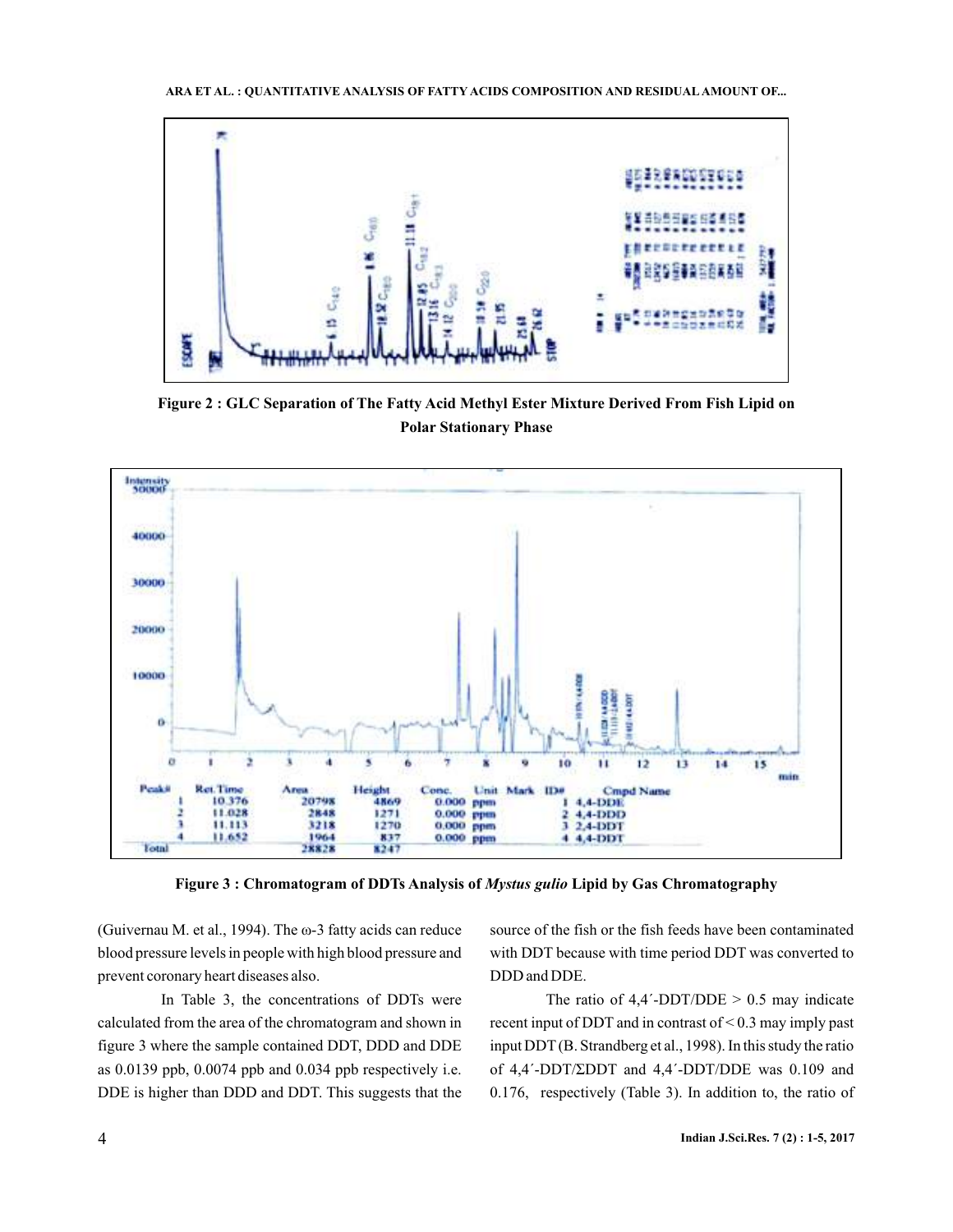

**Figure 2 : GLC Separation of The Fatty Acid Methyl Ester Mixture Derived From Fish Lipid on Polar Stationary Phase**



Figure 3 : Chromatogram of DDTs Analysis of *Mystus gulio* Lipid by Gas Chromatography

(Guivernau M. et al., 1994). The ω-3 fatty acids can reduce blood pressure levels in people with high blood pressure and prevent coronary heart diseases also.

In Table 3, the concentrations of DDTs were calculated from the area of the chromatogram and shown in figure 3 where the sample contained DDT, DDD and DDE as 0.0139 ppb, 0.0074 ppb and 0.034 ppb respectively i.e. DDE is higher than DDD and DDT. This suggests that the

source of the fish or the fish feeds have been contaminated with DDT because with time period DDT was converted to DDD and DDE.

The ratio of  $4,4'$ -DDT/DDE  $> 0.5$  may indicate recent input of DDT and in contrast of < 0.3 may imply past input DDT (B. Strandberg et al., 1998 ). In this study the ratio 0.176, respectively (Table 3). In addition to, the ratio of of 4,4΄-DDT/ΣDDT and 4,4΄-DDT/DDE was 0.109 and